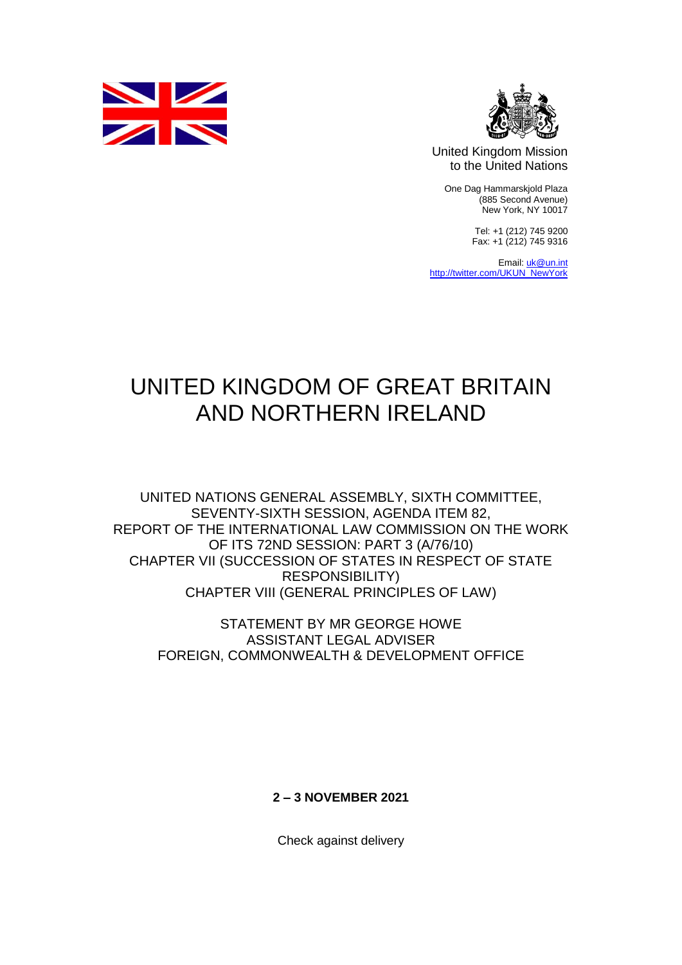



United Kingdom Mission to the United Nations

One Dag Hammarskjold Plaza (885 Second Avenue) New York, NY 10017

> Tel: +1 (212) 745 9200 Fax: +1 (212) 745 9316

Email[: uk@un.int](mailto:uk@un.int) [http://twitter.com/UKUN\\_NewYork](http://twitter.com/UKUN_NewYork)

## UNITED KINGDOM OF GREAT BRITAIN AND NORTHERN IRELAND

UNITED NATIONS GENERAL ASSEMBLY, SIXTH COMMITTEE, SEVENTY-SIXTH SESSION, AGENDA ITEM 82, REPORT OF THE INTERNATIONAL LAW COMMISSION ON THE WORK OF ITS 72ND SESSION: PART 3 (A/76/10) CHAPTER VII (SUCCESSION OF STATES IN RESPECT OF STATE RESPONSIBILITY) CHAPTER VIII (GENERAL PRINCIPLES OF LAW)

STATEMENT BY MR GEORGE HOWE ASSISTANT LEGAL ADVISER FOREIGN, COMMONWEALTH & DEVELOPMENT OFFICE

**2 – 3 NOVEMBER 2021**

Check against delivery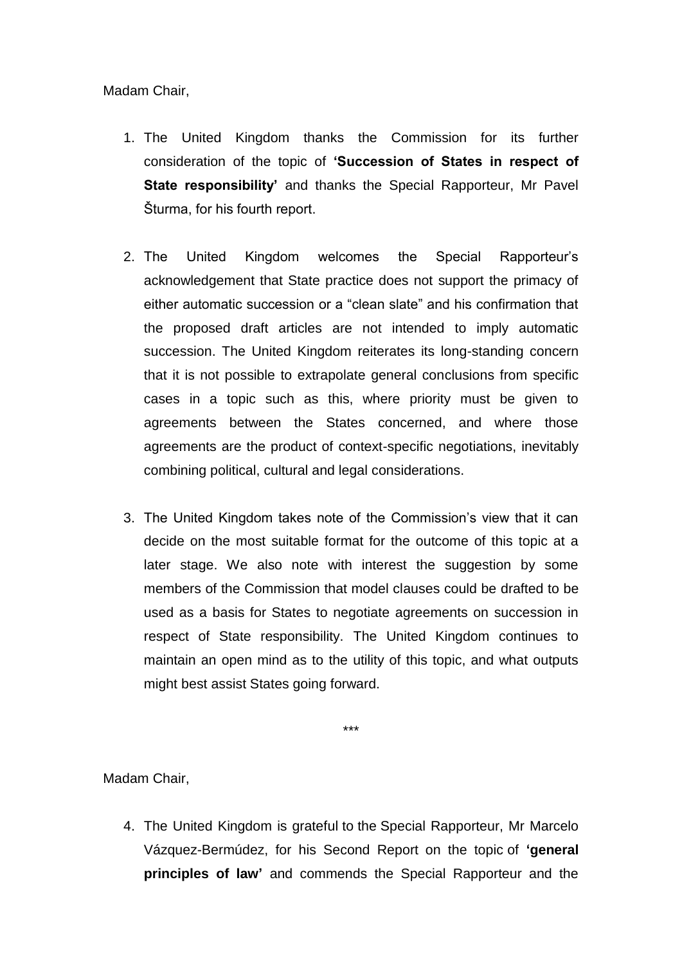Madam Chair,

- 1. The United Kingdom thanks the Commission for its further consideration of the topic of **'Succession of States in respect of State responsibility'** and thanks the Special Rapporteur, Mr Pavel Šturma, for his fourth report.
- 2. The United Kingdom welcomes the Special Rapporteur's acknowledgement that State practice does not support the primacy of either automatic succession or a "clean slate" and his confirmation that the proposed draft articles are not intended to imply automatic succession. The United Kingdom reiterates its long-standing concern that it is not possible to extrapolate general conclusions from specific cases in a topic such as this, where priority must be given to agreements between the States concerned, and where those agreements are the product of context-specific negotiations, inevitably combining political, cultural and legal considerations.
- 3. The United Kingdom takes note of the Commission's view that it can decide on the most suitable format for the outcome of this topic at a later stage. We also note with interest the suggestion by some members of the Commission that model clauses could be drafted to be used as a basis for States to negotiate agreements on succession in respect of State responsibility. The United Kingdom continues to maintain an open mind as to the utility of this topic, and what outputs might best assist States going forward.

\*\*\*

Madam Chair,

4. The United Kingdom is grateful to the Special Rapporteur, Mr Marcelo Vázquez-Bermúdez, for his Second Report on the topic of **'general principles of law'** and commends the Special Rapporteur and the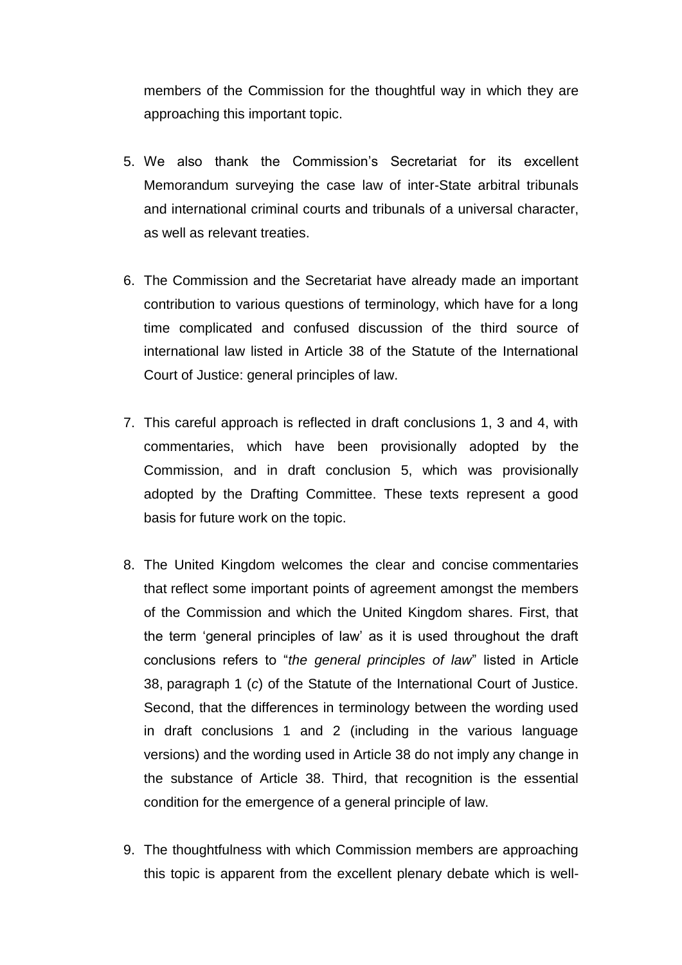members of the Commission for the thoughtful way in which they are approaching this important topic.

- 5. We also thank the Commission's Secretariat for its excellent Memorandum surveying the case law of inter-State arbitral tribunals and international criminal courts and tribunals of a universal character, as well as relevant treaties.
- 6. The Commission and the Secretariat have already made an important contribution to various questions of terminology, which have for a long time complicated and confused discussion of the third source of international law listed in Article 38 of the Statute of the International Court of Justice: general principles of law.
- 7. This careful approach is reflected in draft conclusions 1, 3 and 4, with commentaries, which have been provisionally adopted by the Commission, and in draft conclusion 5, which was provisionally adopted by the Drafting Committee. These texts represent a good basis for future work on the topic.
- 8. The United Kingdom welcomes the clear and concise commentaries that reflect some important points of agreement amongst the members of the Commission and which the United Kingdom shares. First, that the term 'general principles of law' as it is used throughout the draft conclusions refers to "*the general principles of law*" listed in Article 38, paragraph 1 (*c*) of the Statute of the International Court of Justice. Second, that the differences in terminology between the wording used in draft conclusions 1 and 2 (including in the various language versions) and the wording used in Article 38 do not imply any change in the substance of Article 38. Third, that recognition is the essential condition for the emergence of a general principle of law.
- 9. The thoughtfulness with which Commission members are approaching this topic is apparent from the excellent plenary debate which is well-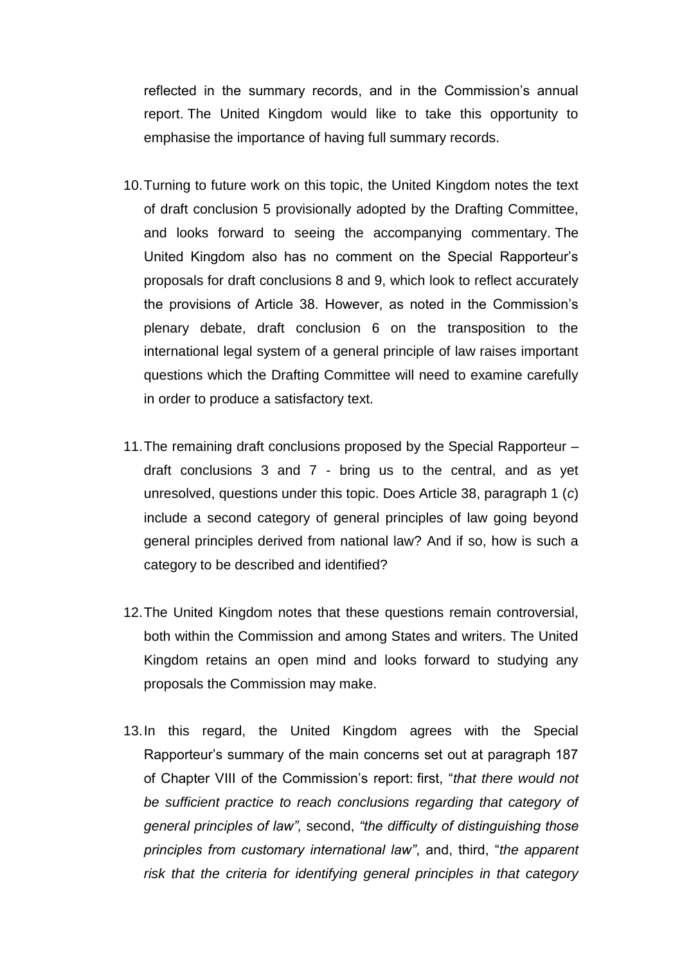reflected in the summary records, and in the Commission's annual report. The United Kingdom would like to take this opportunity to emphasise the importance of having full summary records.

- 10.Turning to future work on this topic, the United Kingdom notes the text of draft conclusion 5 provisionally adopted by the Drafting Committee, and looks forward to seeing the accompanying commentary. The United Kingdom also has no comment on the Special Rapporteur's proposals for draft conclusions 8 and 9, which look to reflect accurately the provisions of Article 38. However, as noted in the Commission's plenary debate, draft conclusion 6 on the transposition to the international legal system of a general principle of law raises important questions which the Drafting Committee will need to examine carefully in order to produce a satisfactory text.
- 11.The remaining draft conclusions proposed by the Special Rapporteur draft conclusions 3 and 7 - bring us to the central, and as yet unresolved, questions under this topic. Does Article 38, paragraph 1 (*c*) include a second category of general principles of law going beyond general principles derived from national law? And if so, how is such a category to be described and identified?
- 12.The United Kingdom notes that these questions remain controversial, both within the Commission and among States and writers. The United Kingdom retains an open mind and looks forward to studying any proposals the Commission may make.
- 13.In this regard, the United Kingdom agrees with the Special Rapporteur's summary of the main concerns set out at paragraph 187 of Chapter VIII of the Commission's report: first, "*that there would not be sufficient practice to reach conclusions regarding that category of general principles of law",* second, *"the difficulty of distinguishing those principles from customary international law"*, and, third, "*the apparent risk that the criteria for identifying general principles in that category*